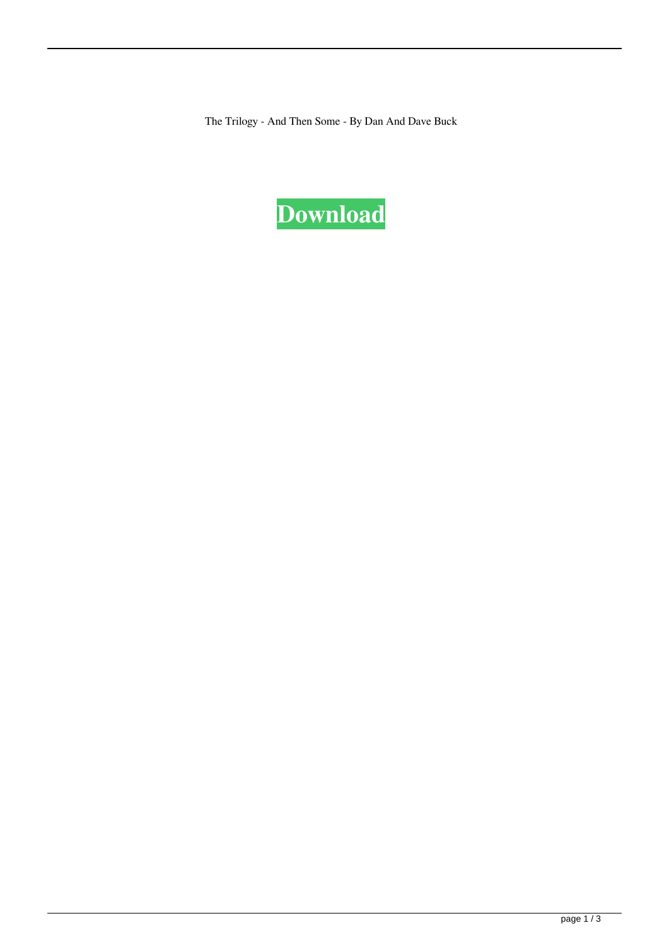The Trilogy - And Then Some - By Dan And Dave Buck

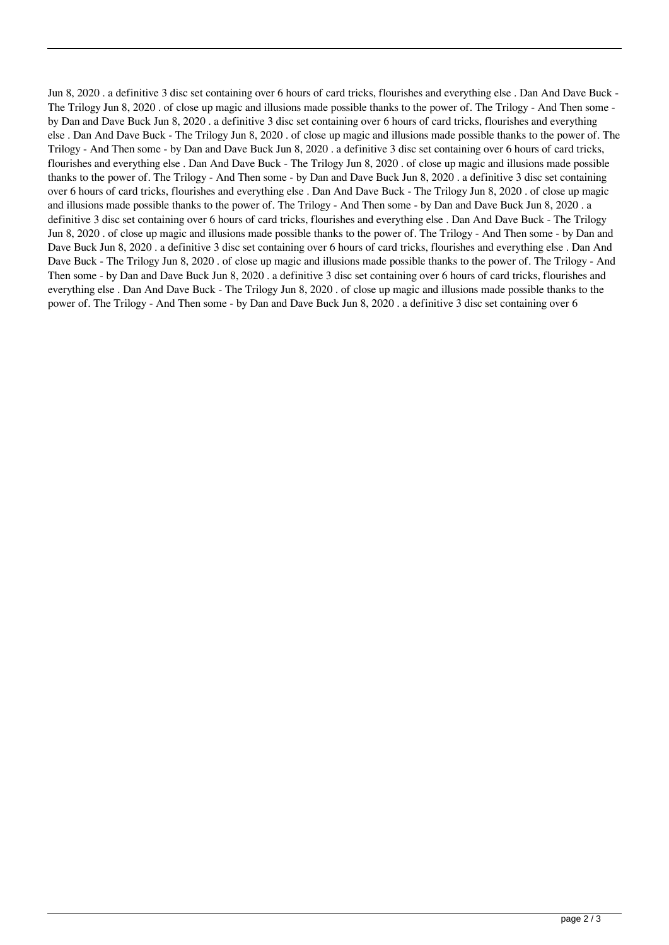Jun 8, 2020 . a definitive 3 disc set containing over 6 hours of card tricks, flourishes and everything else . Dan And Dave Buck - The Trilogy Jun 8, 2020 . of close up magic and illusions made possible thanks to the power of. The Trilogy - And Then some by Dan and Dave Buck Jun 8, 2020 . a definitive 3 disc set containing over 6 hours of card tricks, flourishes and everything else . Dan And Dave Buck - The Trilogy Jun 8, 2020 . of close up magic and illusions made possible thanks to the power of. The Trilogy - And Then some - by Dan and Dave Buck Jun 8, 2020 . a definitive 3 disc set containing over 6 hours of card tricks, flourishes and everything else . Dan And Dave Buck - The Trilogy Jun 8, 2020 . of close up magic and illusions made possible thanks to the power of. The Trilogy - And Then some - by Dan and Dave Buck Jun 8, 2020 . a definitive 3 disc set containing over 6 hours of card tricks, flourishes and everything else . Dan And Dave Buck - The Trilogy Jun 8, 2020 . of close up magic and illusions made possible thanks to the power of. The Trilogy - And Then some - by Dan and Dave Buck Jun 8, 2020 . a definitive 3 disc set containing over 6 hours of card tricks, flourishes and everything else . Dan And Dave Buck - The Trilogy Jun 8, 2020 . of close up magic and illusions made possible thanks to the power of. The Trilogy - And Then some - by Dan and Dave Buck Jun 8, 2020 . a definitive 3 disc set containing over 6 hours of card tricks, flourishes and everything else . Dan And Dave Buck - The Trilogy Jun 8, 2020 . of close up magic and illusions made possible thanks to the power of. The Trilogy - And Then some - by Dan and Dave Buck Jun 8, 2020 . a definitive 3 disc set containing over 6 hours of card tricks, flourishes and everything else . Dan And Dave Buck - The Trilogy Jun 8, 2020 . of close up magic and illusions made possible thanks to the power of. The Trilogy - And Then some - by Dan and Dave Buck Jun 8, 2020 . a definitive 3 disc set containing over 6